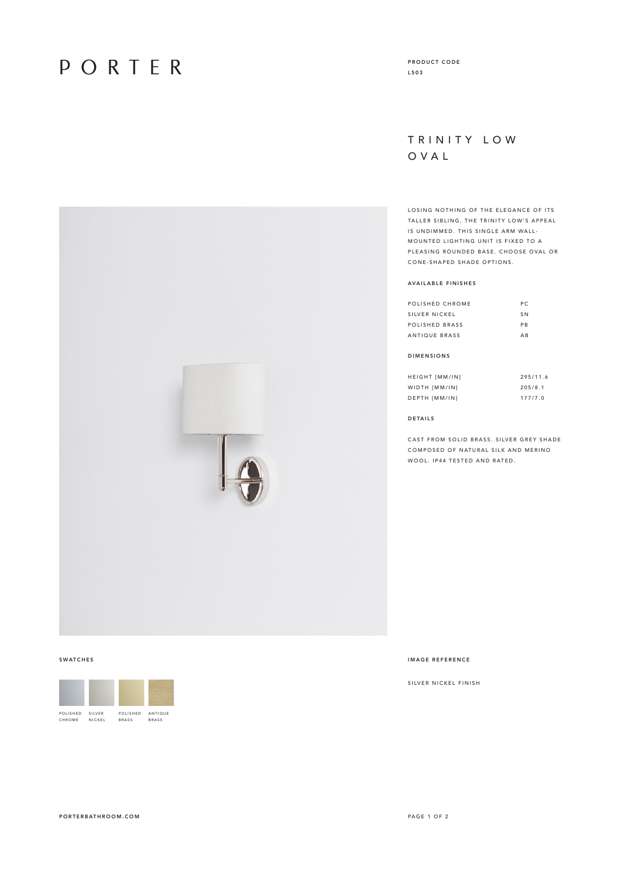# PORTER

### TRINITY LOW OVAL

LOSING NOTHING OF THE ELEGANCE OF ITS TALLER SIBLING, THE TRINITY LOW'S APPEAL IS UNDIMMED. THIS SINGLE ARM WALL-MOUNTED LIGHTING UNIT IS FIXED TO A PLEASING ROUNDED BASE. CHOOSE OVAL OR CONE-SHAPED SHADE OPTIONS.

#### AVAILABLE FINISHES

| POLISHED CHROME | P C            |
|-----------------|----------------|
| SILVER NICKEL   | S <sub>N</sub> |
| POLISHED BRASS  | PR             |
| ANTIQUE BRASS   | $\triangle$ R  |

### DIMENSIONS

| <b>HEIGHT [MM/IN]</b> | 295/11.6 |
|-----------------------|----------|
| WIDTH [MM/IN]         | 205/8.1  |
| DEPTH [MM/IN]         | 177/7.0  |

#### DETAILS

CAST FROM SOLID BRASS. SILVER GREY SHADE COMPOSED OF NATURAL SILK AND MERINO WOOL. IP44 TESTED AND RATED.

POLISHED CHROME SILVER NICKEL POLISHED BRASS ANTIQUE BRASS

#### SWATCHES IMAGE REFERENCE

SILVER NICKEL FINISH